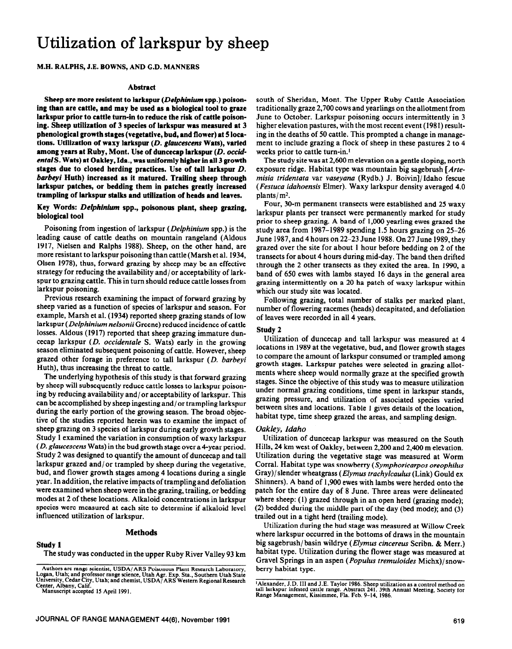# Utilization of larkspur by sheep

M.H. RALPHS, J.E. BOWNS, **AND** G.D. MANNERS

## **Abstract**

Sheep are more resistent to larkspur (*Delphinium* spp.) poison**ing than are cattle, and may be used as a biological tool to graze larkspur prior to cattle turn-in to reduce the risk of cattle poisoning. Sheep utilization of 3 species of larkspur was measured at 3 phenological growth stages (vegetative, bud, and flower) at 5 loca**tions. Utilization of waxy larkspur (*D. glaucescens* Wats), varied among years at Ruby, Mont. Use of duncecap larkspur (*D. occid*ental S. Wats) at Oakley, Ida., was uniformly higher in all 3 growth **stages due to closed herding practices. Use of tall larkspur D.**  *barbeyi* **Huth) increased as it matured. Trailing sheep through larkspur patches, or bedding them in patches greatly increased trampling of hukspur stalks and utilization of heads and leaves.** 

# **Key Words:** *Delphinium* **spp., poisonous plant, sheep grazing, biological tool**

Poisoning from ingestion of larkspur *(Delphinium* spp.) is the leading cause of cattle deaths on mountain rangeland (Aldous 1917, Nielsen and Ralphs 1988). Sheep, on the other hand, are more resistant to larkspur poisoning than cattle (Marsh et al. 1934, Olsen 1978), thus, forward grazing by sheep may be an effective strategy for reducing the availability and/ or acceptability of larkspur to grazing cattle. This in turn should reduce cattle losses from larkspur poisoning.

Previous research examining the impact of forward grazing by sheep varied as a function of species of larkspur and season. For example, Marsh et al. (1934) reported sheep grazing stands of low larkspur *(Delphinium nelsonii* Greene) reduced incidence of cattle losses. Aldous (1917) reported that sheep grazing immature duncecap larkspur *(D. occidentale S.* Wats) early in the growing season eliminated subsequent poisoning of cattle. However, sheep grazed other forage in preference to tall larkspur *(D. barbeyi*  Huth), thus increasing the threat to cattle.

The underlying hypothesis of this study is that forward grazing by sheep will subsequently reduce cattle losses to larkspur poisoning by reducing availability and/ or acceptability of larkspur. This can be accomplished by sheep ingesting and/ or trampling larkspur during the early portion of the growing season. The broad objective of the studies reported herein was to examine the impact of sheep grazing on 3 species of larkspur during early growth stages. Study 1 examined the variation in consumption of waxy larkspur *(D. glaucescens* Wats) in the bud growth stage over a 4-year period. Study 2 was designed to quantify the amount of duncecap and tall larkspur grazed and/or trampled by sheep during the vegetative, bud, and flower growth stages among 4 locations during a single year. In addition, the relative impacts of trampling and defoliation were examined when sheep were in the grazing, trailing, or bedding modes at 2 of these locations. Alkaloid concentrations in larkspur species were measured at each site to determine if alkaloid level influenced utilization of larkspur.

# **Methods**

# **Study 1**

The study was conducted in the upper Ruby River Valley 93 km

Authors are range scientist, **USDA/ARS Poisonous Plant Research Laboratory, Logan, Utah; and professor range science, Utah Agr. Exp. Sta., Southern Utah State Umversw, Cedar City, Utah; and chemist, USDA/ ARS Western Regional Research Center, Albany, Calif.** 

**Manuscript accepted I5 April 1991.** 

south of Sheridan, Mont. The Upper Ruby Cattle Association traditionally graze 2,700 cows and yearlings on the allotment from June to October. Larkspur poisoning occurs intermittently in 3 higher elevation pastures, with the most recent event (1981) resulting in the deaths of 50 cattle. This prompted a change in management to include grazing a flock of sheep in these pastures *2* to **4**  weeks prior to cattle turn-in.<sup>1</sup>

The study site was at 2,600 m elevation on a gentle sloping, north exposure ridge. Habitat type was mountain big sagebrush *[Artemisia tridentata* var vaseyana (Rydb.) J. Boivin]/Idaho fescue *(Festucu iduhoensis* Elmer). Waxy larkspur density averaged 4.0 plants/ m2.

Four, 30-m permanent transects were established and 25 waxy larkspur plants per transect were permanently marked for study prior to sheep grazing. A band of 1,000 yearling ewes grazed the study area from 1987-1989 spending 1.5 hours grazing on 25-26 June 1987, and 4 hours on 22-23 June 1988. On 27 June 1989, they grazed over the site for about 1 hour before bedding on 2 of the transects for about 4 hours during mid-day. The band then drifted through the 2 other transects as they exited the area. In 1990, a band of 650 ewes with lambs stayed 16 days in the general area grazing intermittently on a 20 ha patch of waxy larkspur within which our study site was located.

Following grazing, total number of stalks per marked plant, number of flowering racemes (heads) decapitated, and defoliation of leaves were recorded in all 4 years.

## **Study 2**

Utilization of duncecap and tall larkspur was measured at 4 locations in 1989 at the vegetative, bud, and flower growth stages to compare the amount of larkspur consumed or trampled among growth stages. Larkspur patches were selected in grazing allotments where sheep would normally graze at the specified growth stages. Since the objective of this study was to measure utilization under normal grazing conditions, time spent in larkspur stands, grazing pressure, and utilization of associated species varied between sites and locations. Table 1 gives details of the location, habitat type, time sheep grazed the areas, and sampling design.

## *Oakley, Idaho*

Utilization of duncecap larkspur was measured on the South Hills, 24 km west of Oakley, between 2,200 and 2,400 m elevation. Utilization during the vegetative stage was measured at Worm Corral. Habitat type was snowberry *(Symphoricarpos oreophilus*  Gray)/ slender wheatgrass *(Elymus trachylcaulus* (Link) Gould ex Shinners). A band of 1,900 ewes with lambs were herded onto the patch for the entire day of 8 June. Three areas were delineated where sheep: (1) grazed through in an open herd (grazing mode); *(2)* bedded during the middle part of the day (bed mode); and (3) trailed out in a tight herd (trailing mode).

Utilization during the bud stage was measured at Willow Creek where larkspur occurred in the bottoms of draws in the mountain big sagebrush/ basin wildrye *(Elymus cincereus* Scribn. & Merr.) habitat type. Utilization during the flower stage was measured at Gravel Springs in an aspen *(Populus tremuloides* Michx)/ snowberry habitat type.

**<sup>&#</sup>x27;Alexander, J.D. III and J.E. Taylor 1986. Sheep utilization as a control method on tall larkspur infested cattle range. Abstract 241. 39th Annual Meeting, Society for Range Management, Kissimmee, Fla. Feb. 9-14, 1986.**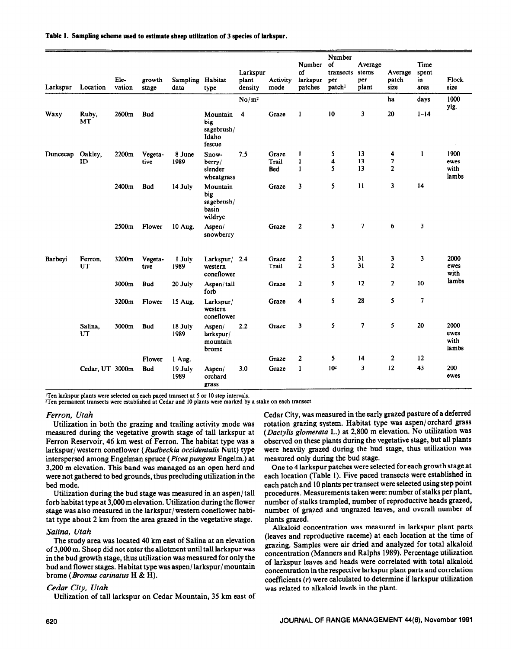| Larkspur | Location        | Ele-<br>vation | growth<br>stage | Sampling Habitat<br>data | type                                              | Larkspur<br>plant<br>density | Activity<br>mode | Number<br>of<br>larkspur<br>patches | Number<br>of<br>transects<br>per<br>patch <sup>1</sup> | Average<br>stems<br>per<br>plant | Average<br>patch<br>size | Time<br>spent<br>in<br>area | Flock<br>size                 |
|----------|-----------------|----------------|-----------------|--------------------------|---------------------------------------------------|------------------------------|------------------|-------------------------------------|--------------------------------------------------------|----------------------------------|--------------------------|-----------------------------|-------------------------------|
|          |                 |                |                 |                          |                                                   | No/m <sup>2</sup>            |                  |                                     |                                                        |                                  | ha                       | days                        | 1000                          |
| Waxy     | Ruby,<br>MT     | 2600m          | <b>Bud</b>      |                          | Mountain<br>big<br>sagebrush/<br>Idaho<br>fescue  | 4                            | Graze            | $\mathbf{1}$                        | 10                                                     | 3                                | 20                       | $1 - 14$                    | ylg.<br>$\sim$                |
| Duncecap | Oakley,         | 2200m          | Vegeta-         | 8 June                   | Snow-                                             | 7.5                          | Graze            | 1                                   | 5                                                      | 13                               | 4                        | $\mathbf{1}$                | 1900                          |
|          | ID              |                | tive            | 1989                     | berry/                                            |                              | Trail            | $\mathbf{1}$                        | 4                                                      | 13                               | $\mathbf{2}$             |                             | ewes                          |
|          |                 |                |                 |                          | slender<br>wheatgrass                             |                              | Bed              | $\mathbf{1}$                        | 5                                                      | 13                               | $\overline{2}$           |                             | with<br>lambs                 |
|          |                 | 2400m          | <b>Bud</b>      | 14 July                  | Mountain<br>big<br>sagebrush/<br>basin<br>wildrye |                              | Graze            | 3                                   | 5                                                      | 11                               | $\overline{\mathbf{3}}$  | 14                          |                               |
|          |                 | 2500m          | Flower          | 10 Aug.                  | Aspen/<br>snowberry                               |                              | Graze            | $\overline{2}$                      | 5                                                      | $\overline{\phantom{a}}$         | 6                        | $\overline{\mathbf{3}}$     |                               |
| Barbeyi  | Ferron.         | 3200m          | Vegeta-         | 1 July                   | Larkspur/ 2.4                                     |                              | Graze            | $\mathbf{2}$                        | 5                                                      | 31                               | $\overline{\mathbf{3}}$  | 3                           | 2000                          |
|          | UT              |                | tive            | 1989                     | western<br>coneflower                             |                              | Trail            | $\overline{2}$                      | 5                                                      | 31                               | $\overline{2}$           |                             | ewes<br>with                  |
|          |                 | 3000m          | <b>Bud</b>      | 20 July                  | Aspen/tall<br>forb                                |                              | Graze            | $\overline{\mathbf{2}}$             | 5                                                      | 12                               | $\boldsymbol{2}$         | 10                          | lambs                         |
|          |                 | 3200m          | Flower          | 15 Aug.                  | Larkspur/<br>western<br>coneflower                |                              | Graze            | 4                                   | 5                                                      | 28                               | 5                        | 7                           |                               |
|          | Salina,<br>UT   | 3000m          | <b>Bud</b>      | 18 July<br>1989          | Aspen/<br>larkspur/<br>mountain<br>brome          | 2.2                          | Graze            | 3                                   | 5                                                      | 7                                | 5                        | 20                          | 2000<br>ewes<br>with<br>lambs |
|          |                 |                | Flower          | 1 Aug.                   |                                                   |                              | Graze            | $\mathbf{2}$                        | 5                                                      | 14                               | $\overline{2}$           | 12                          |                               |
|          | Cedar, UT 3000m |                | <b>Bud</b>      | 19 July<br>1989          | Aspen/<br>orchard<br>grass                        | 3.0                          | Graze            | $\mathbf{I}$                        | 10 <sup>2</sup>                                        | 3                                | 12                       | 43                          | 200<br>ewes                   |

#### Table 1. Sampling scheme used to estimate sheep utilization of 3 species of larkspur.

<sup>1</sup>Ten larkspur plants were selected on each paced transect at 5 or 10 step intervals.

<sup>2</sup>Ten permanent transects were established at Cedar and 10 plants were marked by a stake on each transect.

## *Ferron, Utah*

Utilization in both the grazing and trailing activity mode was measured during the vegetative growth stage of tall larkspur at Ferron Reservoir, 46 km west of Ferron. The habitat type was a larkspur/ western coneflower *(Rudbeckia occidentalis* Nutt) type interspersed among Engelman spruce *(Piceapungens* Engelm.) at 3,200 m elevation. This band was managed as an open herd and were not gathered to bed grounds, thus precluding utilization in the bed mode.

Utilization during the bud stage was measured in an aspen/tall forb habitat type at 3,000 m elevation. Utilization during the flower stage was also measured in the larkspur/ western coneflower habitat type about 2 km from the area grazed in the vegetative stage.

### *Salina, Utah*

The study area was located 40 km east of Salina at an elevation of 3,000 m. Sheep did not enter the allotment until tall larkspur was in the bud growth stage, thus utilization was measured for only the bud and flower stages. Habitat type was aspen/ larkspur/ mountain brome (Bornus *carinatus* H & H).

#### *Cedar City, Utah*

Utilization of tall larkspur on Cedar Mountain, 35 km east of

Cedar City, was measured in the early grazed pasture of a deferred rotation grazing system. Habitat type was aspen/orchard grass *(Dactylis glomerata* L.) at 2,800 m elevation. No utilization was observed on these plants during the vegetative stage, but all plants were heavily grazed during the bud stage, thus utilization was measured only during the bud stage.

One to 4 larkspur patches were selected for each growth stage at each location (Table 1). Five paced transects were established in each patch and 10 plants per transect were selected using step point procedures. Measurements taken were: number of stalks per plant, number of stalks trampled, number of reproductive heads grazed, number of grazed and ungrazed leaves, and overall number of plants grazed.

Alkaloid concentration was measured in larkspur plant parts (leaves and reproductive raceme) at each location at the time of grazing. Samples were air dried and analyzed for total alkaloid concentration (Manners and Ralphs 1989). Percentage utilization of larkspur leaves and heads were correlated with total alkaloid concentration in the respective larkspur plant parts and correlation coefficients (r) were calculated to determine if larkspur utilization was related to alkaloid levels in the plant.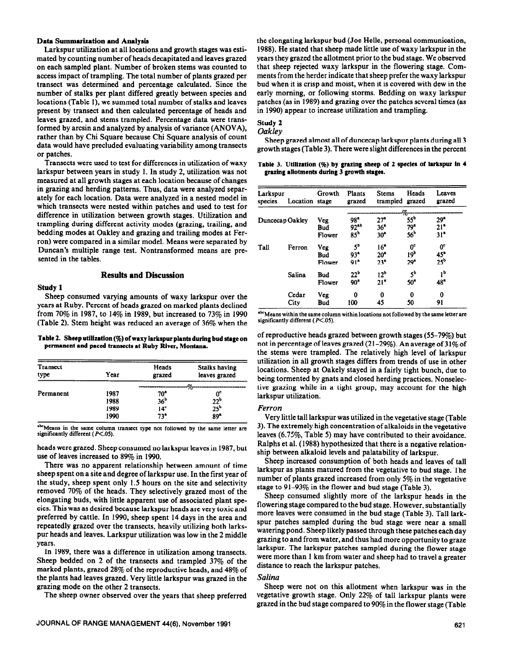#### **Data Summarization and Analysis**

Larkspur utilization at all locations and growth stages was estimated by counting number of heads decapitated and leaves grazed on each sampled plant. Number of broken stems was counted to access impact of trampling. The total number of plants grazed per transect was determined and percentage calculated. Since the number of stalks per plant differed greatly between species and locations (Table I), we summed total number of stalks and leaves present by transect and then calculated percentage of heads and leaves grazed, and stems trampled. Percentage data were transformed by arcsin and analyzed by analysis of variance (ANOVA), rather than by Chi Square because Chi Square analysis of count data would have precluded evaluating variability among transects or patches.

Transects were used to test for differences in utilization of waxy **Table 3. Utilization (%) by grazing sheep of 2 species of larkspur in 4**<br>rkspur between years in study 1. In study 2, utilization was not grazing allotmen larkspur between years in study 1. In study 2, utilization was not measured at all growth stages at each location because of changes in grazing and herding patterns. Thus, data were analyzed separately for each location. Data were analyzed in a nested model in which transects were nested within patches and used to test for difference in utilization between growth stages. Utilization and trampling during different activity modes (grazing, trailing, and bedding modes at Oakley and grazing and trailing modes at Ferron) were compared in a similar model. Means were separated by Duncan's multiple range test. Nontransformed means are presented in the tables.

## **Results and Discussion**

#### **Study 1**

Sheep consumed varying amounts of waxy larkspur over the years at Ruby. Percent of heads grazed on marked plants declined from 70% in 1987, to 14% in 1989, but increased to 73% in 1990 (Table 2). Stem height was reduced an average of 36% when the

#### Table 2. Sheep utilization (%) of waxy larkspur plants during bud stage on permanent and paced transects at Ruby River, Montana.

| Transect<br>type | Үеаг | Heads<br>grazed | Stalks having<br>leaves grazed |
|------------------|------|-----------------|--------------------------------|
|                  |      |                 | Ω.                             |
| Permanent        | 1987 | 70ª             | 0°                             |
|                  | 1988 | 36 <sup>b</sup> |                                |
|                  | 1989 | 14 <sup>c</sup> | $\frac{22^b}{25^b}$            |
|                  | 1990 | 73 <sup>a</sup> | 89 <sup>a</sup>                |

heads were grazed. Sheep consumed no larkspur leaves in 1987, but use of leaves increased to 89% in 1990.

There was no apparent relationship between amount of time sheep spent on a site and degree of larkspur use. In the first year of the study, sheep spent only 1.5 hours on the site and selectivity removed 70% of the heads. They selectively grazed most of the elongating buds, with little apparent use of associated plant species. This was as desired because larkspur heads are very toxic and preferred by cattle. In 1990, sheep spent 14 days in the area and repeatedly grazed over the transects, heavily utilizing both larkspur heads and leaves. Larkspur utilization was low in the 2 middle years.

In 1989, there was a difference in utilization among transects. Sheep bedded on 2 of the transects and trampled 37% of the marked plants, grazed 28% of the reproductive heads, and 48% of the plants had leaves grazed. Very little larkspur was grazed in the grazing mode on the other 2 transects.

The sheep owner observed over the years that sheep preferred

the elongating larkspur bud (Joe Helle, personal communication, 1988). He stated that sheep made little use of waxy larkspur in the years they grazed the allotment prior to the bud stage. We observed that sheep rejected waxy larkspur in the flowering stage. Comments from the herder indicate that sheep prefer the waxy larkspur bud when it is crisp and moist, when it is covered with dew in the early morning, or following storms. Bedding on waxy larkspur patches (as in 1989) and grazing over the patches several times (as in 1990) appear to increase utilization and trampling.

# **Study 2**

## *Oakley*

Sheep grazed almost all of duncecap larkspur plants **during** all 3 growth stages (Table 3). There were slight differences in the percent

| Larkspur<br>species | Location stage | Growth                      | Plants<br>grazed                                       | <b>Stems</b><br>trampled grazed                       | Heads                                                 | Leaves<br>grazed                                      |
|---------------------|----------------|-----------------------------|--------------------------------------------------------|-------------------------------------------------------|-------------------------------------------------------|-------------------------------------------------------|
|                     |                |                             |                                                        |                                                       | $O_{\Omega}$                                          |                                                       |
| Duncecap Oakley     |                | <b>Veg</b><br>Bud<br>Flower | 98 <sup>a</sup><br>92 <sup>ab</sup><br>85 <sup>b</sup> | 27 <sup>a</sup><br>36 <sup>8</sup><br>30 <sup>a</sup> | 55 <sup>b</sup><br>79 <sup>a</sup><br>56 <sup>b</sup> | 29 <sup>n</sup><br>21 <sup>n</sup><br>31 <sup>8</sup> |
| Tall                | Ferron         | Veg<br>Bud<br>Flower        | 5 <sup>b</sup><br>93 <sup>a</sup><br>91 <sup>a</sup>   | 16 <sup>a</sup><br>20 <sup>a</sup><br>23 <sup>a</sup> | $0^{\circ}$<br>19 <sup>b</sup><br>29 <sup>a</sup>     | $0^\mathrm{c}$<br>$45^a$<br>$25^b$                    |
|                     | Salina         | <b>Bud</b><br>Flower        | 22 <sup>b</sup><br>$90^*$                              | 12 <sup>b</sup><br>21 <sup>a</sup>                    | $5^{\rm b}$<br>50 <sup>a</sup>                        | 1 <sup>b</sup><br>48 <sup>a</sup>                     |
|                     | Cedar<br>City  | Veg<br>Bud                  | 0<br>100                                               | 0<br>45                                               | 0<br>50                                               | 0<br>91                                               |

<sup>abc</sup>Means within the same column within locations not followed by the same letter are **significantly different (P<.OS).** 

of reproductive heads grazed between growth stages  $(55-79%)$  but not in percentage of leaves grazed (21-29%). An average of 31% of the stems were trampled. The relatively high level of larkspur utilization in all growth stages differs from trends of use in other locations. Sheep at Oakely stayed in a fairly tight bunch, due to being tormented by gnats and closed herding practices. Nonselective grazing while in a tight group, may account for the high larkspur utilization.

## *Ferron*

Very little tall larkspur was utilized in the vegetative stage (Table **Extremely high concentration of alkaloids in the vegetative**<br>significantly different (P<.05). leaves (6.75%, Table 5) may have contributed to their avoidance. Ralphs et al. (1988) hypothesized that there is a negative relationship between alkaloid levels and palatability of larkspur.

> Sheep increased consumption of both heads and leaves of tall larkspur as plants matured from the vegetative to bud stage. The number of plants grazed increased from only 5% in the vegetative stage to 91-93% in the flower and bud stage (Table 3).

> Sheep consumed slightly more of the larkspur heads in the flowering stage compared to the bud stage. However, substantially more leaves were consumed in the bud stage (Table 3). Tall larkspur patches sampled during the bud stage were near a small watering pond. Sheep likely passed through these patches each day grazing to and from water, and thus had more opportunity to graze larkspur. The larkspur patches sampled during the flower stage were more than 1 km from water and sheep had to travel a greater distance to reach the larkspur patches.

## *Salina*

Sheep were not on this allotment when larkspur was in the vegetative growth stage. Only 22% of tall larkspur plants were grazed in the bud stage compared to 90% in the flower stage (Table